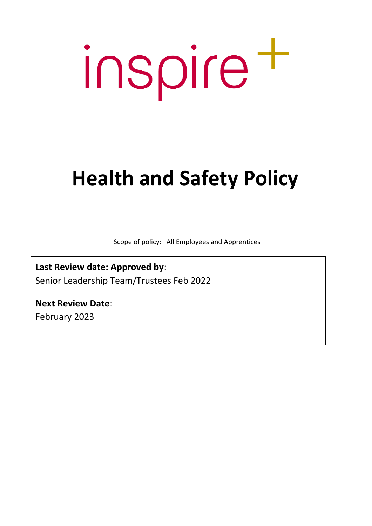# inspire t

### **Health and Safety Policy**

Scope of policy: All Employees and Apprentices

**Last Review date: Approved by**: Senior Leadership Team/Trustees Feb 2022

**Next Review Date**: February 2023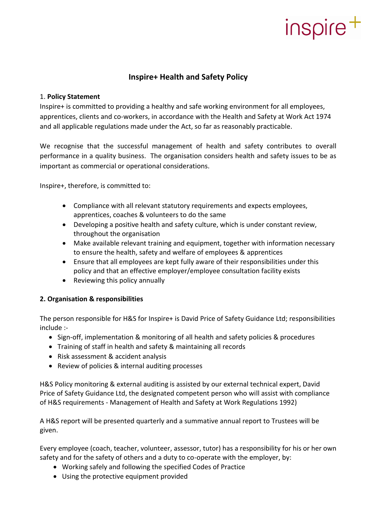#### **Inspire+ Health and Safety Policy**

#### 1. **Policy Statement**

Inspire+ is committed to providing a healthy and safe working environment for all employees, apprentices, clients and co-workers, in accordance with the Health and Safety at Work Act 1974 and all applicable regulations made under the Act, so far as reasonably practicable.

We recognise that the successful management of health and safety contributes to overall performance in a quality business. The organisation considers health and safety issues to be as important as commercial or operational considerations.

Inspire+, therefore, is committed to:

- Compliance with all relevant statutory requirements and expects employees, apprentices, coaches & volunteers to do the same
- Developing a positive health and safety culture, which is under constant review, throughout the organisation
- Make available relevant training and equipment, together with information necessary to ensure the health, safety and welfare of employees & apprentices
- Ensure that all employees are kept fully aware of their responsibilities under this policy and that an effective employer/employee consultation facility exists
- Reviewing this policy annually

#### **2. Organisation & responsibilities**

The person responsible for H&S for Inspire+ is David Price of Safety Guidance Ltd; responsibilities include :-

- Sign-off, implementation & monitoring of all health and safety policies & procedures
- Training of staff in health and safety & maintaining all records
- Risk assessment & accident analysis
- Review of policies & internal auditing processes

H&S Policy monitoring & external auditing is assisted by our external technical expert, David Price of Safety Guidance Ltd, the designated competent person who will assist with compliance of H&S requirements - Management of Health and Safety at Work Regulations 1992)

A H&S report will be presented quarterly and a summative annual report to Trustees will be given.

Every employee (coach, teacher, volunteer, assessor, tutor) has a responsibility for his or her own safety and for the safety of others and a duty to co-operate with the employer, by:

- Working safely and following the specified Codes of Practice
- Using the protective equipment provided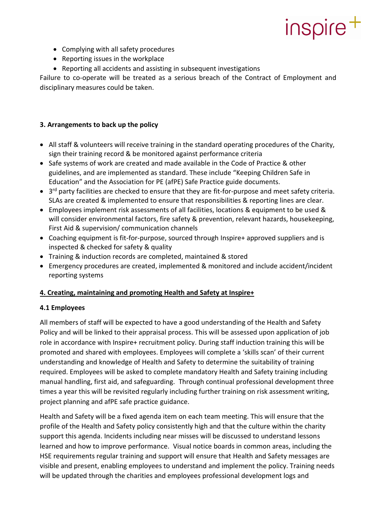- Complying with all safety procedures
- Reporting issues in the workplace
- Reporting all accidents and assisting in subsequent investigations

Failure to co-operate will be treated as a serious breach of the Contract of Employment and disciplinary measures could be taken.

#### **3. Arrangements to back up the policy**

- All staff & volunteers will receive training in the standard operating procedures of the Charity, sign their training record & be monitored against performance criteria
- Safe systems of work are created and made available in the Code of Practice & other guidelines, and are implemented as standard. These include "Keeping Children Safe in Education" and the Association for PE (afPE) Safe Practice guide documents.
- 3<sup>rd</sup> party facilities are checked to ensure that they are fit-for-purpose and meet safety criteria. SLAs are created & implemented to ensure that responsibilities & reporting lines are clear.
- Employees implement risk assessments of all facilities, locations & equipment to be used & will consider environmental factors, fire safety & prevention, relevant hazards, housekeeping, First Aid & supervision/ communication channels
- Coaching equipment is fit-for-purpose, sourced through Inspire+ approved suppliers and is inspected & checked for safety & quality
- Training & induction records are completed, maintained & stored
- Emergency procedures are created, implemented & monitored and include accident/incident reporting systems

#### **4. Creating, maintaining and promoting Health and Safety at Inspire+**

#### **4.1 Employees**

All members of staff will be expected to have a good understanding of the Health and Safety Policy and will be linked to their appraisal process. This will be assessed upon application of job role in accordance with Inspire+ recruitment policy. During staff induction training this will be promoted and shared with employees. Employees will complete a 'skills scan' of their current understanding and knowledge of Health and Safety to determine the suitability of training required. Employees will be asked to complete mandatory Health and Safety training including manual handling, first aid, and safeguarding. Through continual professional development three times a year this will be revisited regularly including further training on risk assessment writing, project planning and afPE safe practice guidance.

Health and Safety will be a fixed agenda item on each team meeting. This will ensure that the profile of the Health and Safety policy consistently high and that the culture within the charity support this agenda. Incidents including near misses will be discussed to understand lessons learned and how to improve performance. Visual notice boards in common areas, including the HSE requirements regular training and support will ensure that Health and Safety messages are visible and present, enabling employees to understand and implement the policy. Training needs will be updated through the charities and employees professional development logs and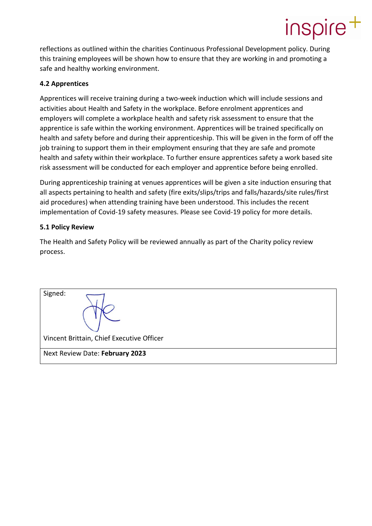reflections as outlined within the charities Continuous Professional Development policy. During this training employees will be shown how to ensure that they are working in and promoting a safe and healthy working environment.

#### **4.2 Apprentices**

Apprentices will receive training during a two-week induction which will include sessions and activities about Health and Safety in the workplace. Before enrolment apprentices and employers will complete a workplace health and safety risk assessment to ensure that the apprentice is safe within the working environment. Apprentices will be trained specifically on health and safety before and during their apprenticeship. This will be given in the form of off the job training to support them in their employment ensuring that they are safe and promote health and safety within their workplace. To further ensure apprentices safety a work based site risk assessment will be conducted for each employer and apprentice before being enrolled.

During apprenticeship training at venues apprentices will be given a site induction ensuring that all aspects pertaining to health and safety (fire exits/slips/trips and falls/hazards/site rules/first aid procedures) when attending training have been understood. This includes the recent implementation of Covid-19 safety measures. Please see Covid-19 policy for more details.

#### **5.1 Policy Review**

The Health and Safety Policy will be reviewed annually as part of the Charity policy review process.

| Signed:                                   |
|-------------------------------------------|
| Vincent Brittain, Chief Executive Officer |
| Next Review Date: February 2023           |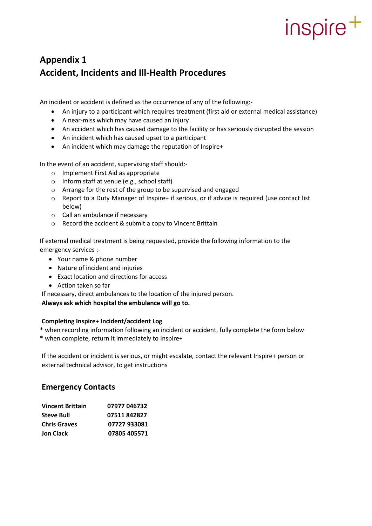### **Appendix 1 Accident, Incidents and Ill-Health Procedures**

An incident or accident is defined as the occurrence of any of the following:-

- An injury to a participant which requires treatment (first aid or external medical assistance)
- A near-miss which may have caused an injury
- An accident which has caused damage to the facility or has seriously disrupted the session
- An incident which has caused upset to a participant
- An incident which may damage the reputation of Inspire+

In the event of an accident, supervising staff should:-

- o Implement First Aid as appropriate
- o Inform staff at venue (e.g., school staff)
- o Arrange for the rest of the group to be supervised and engaged
- o Report to a Duty Manager of Inspire+ if serious, or if advice is required (use contact list below)
- o Call an ambulance if necessary
- o Record the accident & submit a copy to Vincent Brittain

If external medical treatment is being requested, provide the following information to the emergency services :-

- Your name & phone number
- Nature of incident and injuries
- Exact location and directions for access
- Action taken so far
- If necessary, direct ambulances to the location of the injured person.

#### **Always ask which hospital the ambulance will go to.**

#### **Completing Inspire+ Incident/accident Log**

\* when recording information following an incident or accident, fully complete the form below

\* when complete, return it immediately to Inspire+

If the accident or incident is serious, or might escalate, contact the relevant Inspire+ person or external technical advisor, to get instructions

#### **Emergency Contacts**

| <b>Vincent Brittain</b> | 07977 046732 |
|-------------------------|--------------|
| Steve Bull              | 07511842827  |
| <b>Chris Graves</b>     | 07727 933081 |
| Jon Clack               | 07805 405571 |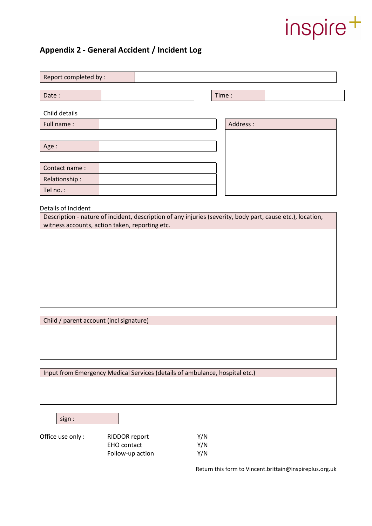### **Appendix 2 - General Accident / Incident Log**

| Report completed by : |          |
|-----------------------|----------|
|                       |          |
| Date:                 | Time:    |
| Child details         |          |
| Full name:            | Address: |
|                       |          |
| Age:                  |          |
|                       |          |
| Contact name:         |          |
| Relationship:         |          |
| Tel no.:              |          |
|                       |          |

Details of Incident

Description - nature of incident, description of any injuries (severity, body part, cause etc.), location, witness accounts, action taken, reporting etc.

Child / parent account (incl signature)

Input from Emergency Medical Services (details of ambulance, hospital etc.)

sign :

Office use only : RIDDOR report Y/N EHO contact Y/N Follow-up action Y/N

Return this form to Vincent.brittain@inspireplus.org.uk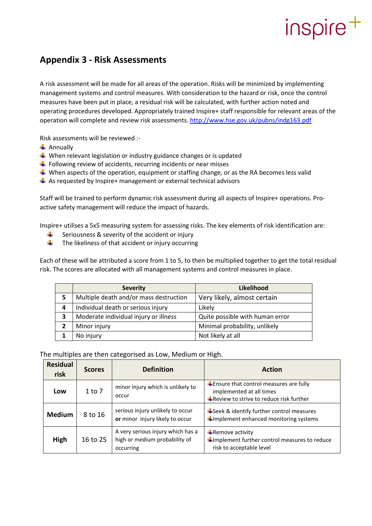### **Appendix 3 - Risk Assessments**

A risk assessment will be made for all areas of the operation. Risks will be minimized by implementing management systems and control measures. With consideration to the hazard or risk, once the control measures have been put in place, a residual risk will be calculated, with further action noted and operating procedures developed. Appropriately trained Inspire+ staff responsible for relevant areas of the operation will complete and review risk assessments.<http://www.hse.gov.uk/pubns/indg163.pdf>

Risk assessments will be reviewed :-

- $\leftarrow$  Annually
- $\ddot{+}$  When relevant legislation or industry guidance changes or is updated
- $\ddot$  Following review of accidents, recurring incidents or near misses
- $\perp$  When aspects of the operation, equipment or staffing change, or as the RA becomes less valid
- $\ddot{+}$  As requested by Inspire+ management or external technical advisors

Staff will be trained to perform dynamic risk assessment during all aspects of Inspire+ operations. Proactive safety management will reduce the impact of hazards.

Inspire+ utilises a 5x5 measuring system for assessing risks. The key elements of risk identification are:

- Seriousness & severity of the accident or injury
- 4 The likeliness of that accident or injury occurring

Each of these will be attributed a score from 1 to 5, to then be multiplied together to get the total residual risk. The scores are allocated with all management systems and control measures in place.

|   | <b>Severity</b>                        | Likelihood                      |
|---|----------------------------------------|---------------------------------|
| 5 | Multiple death and/or mass destruction | Very likely, almost certain     |
| 4 | Individual death or serious injury     | Likely                          |
| 3 | Moderate individual injury or illness  | Quite possible with human error |
|   | Minor injury                           | Minimal probability, unlikely   |
|   | No injury                              | Not likely at all               |

The multiples are then categorised as Low, Medium or High.

| <b>Residual</b><br>risk | <b>Scores</b> | <b>Definition</b>                                                               | <b>Action</b>                                                                                                                     |
|-------------------------|---------------|---------------------------------------------------------------------------------|-----------------------------------------------------------------------------------------------------------------------------------|
| Low                     | 1 to 7        | minor injury which is unlikely to<br>occur                                      | $\ddot{+}$ Ensure that control measures are fully<br>implemented at all times<br><b>↓</b> Review to strive to reduce risk further |
| <b>Medium</b>           | 8 to 16       | serious injury unlikely to occur<br>or minor injury likely to occur             | $\frac{1}{2}$ Seek & identify further control measures<br>Implement enhanced monitoring systems                                   |
| High                    | 16 to 25      | A very serious injury which has a<br>high or medium probability of<br>occurring | $\bigstar$ Remove activity<br>Implement further control measures to reduce<br>risk to acceptable level                            |